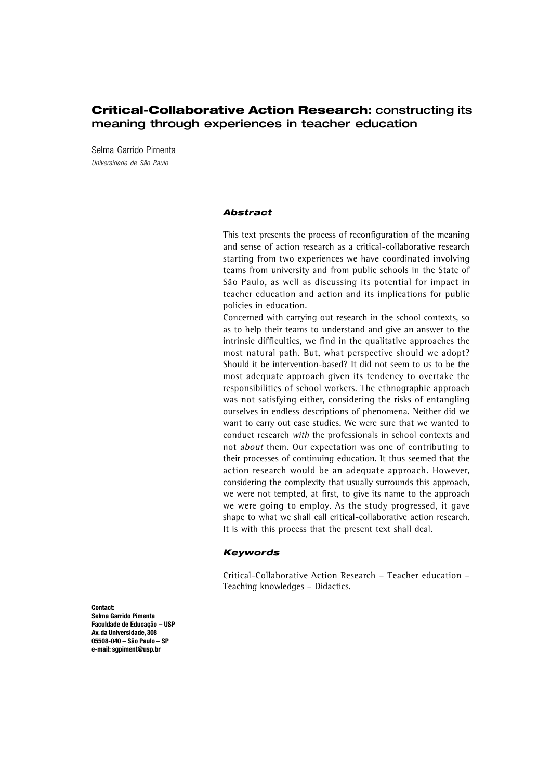# **Critical-Collaborative Action Research**: constructing its meaning through experiences in teacher education

Selma Garrido Pimenta Universidade de São Paulo

#### **Abstract**

This text presents the process of reconfiguration of the meaning and sense of action research as a critical-collaborative research starting from two experiences we have coordinated involving teams from university and from public schools in the State of São Paulo, as well as discussing its potential for impact in teacher education and action and its implications for public policies in education.

Concerned with carrying out research in the school contexts, so as to help their teams to understand and give an answer to the intrinsic difficulties, we find in the qualitative approaches the most natural path. But, what perspective should we adopt? Should it be intervention-based? It did not seem to us to be the most adequate approach given its tendency to overtake the responsibilities of school workers. The ethnographic approach was not satisfying either, considering the risks of entangling ourselves in endless descriptions of phenomena. Neither did we want to carry out case studies. We were sure that we wanted to conduct research with the professionals in school contexts and not about them. Our expectation was one of contributing to their processes of continuing education. It thus seemed that the action research would be an adequate approach. However, considering the complexity that usually surrounds this approach, we were not tempted, at first, to give its name to the approach we were going to employ. As the study progressed, it gave shape to what we shall call critical-collaborative action research. It is with this process that the present text shall deal.

#### **Keywords**

Critical-Collaborative Action Research – Teacher education – Teaching knowledges – Didactics.

**Contact: Selma Garrido Pimenta Faculdade de Educação – USP Av. da Universidade, 308 05508-040 – São Paulo – SP e-mail: sgpiment@usp.br**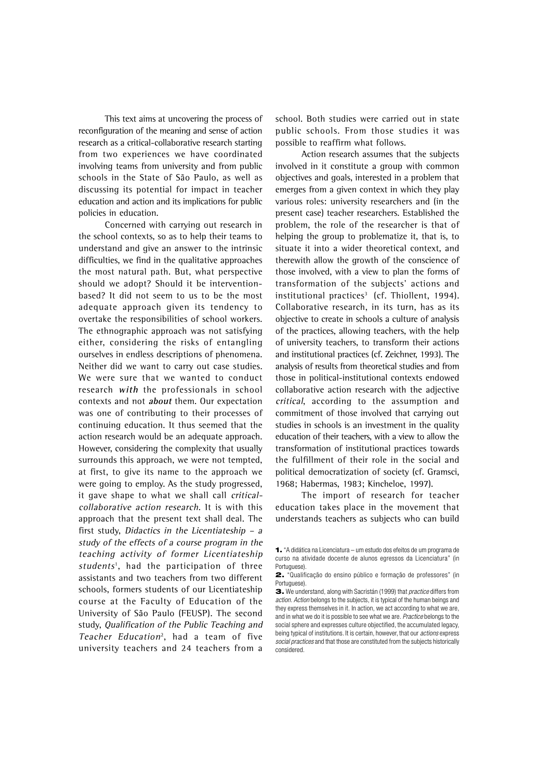This text aims at uncovering the process of reconfiguration of the meaning and sense of action research as a critical-collaborative research starting from two experiences we have coordinated involving teams from university and from public schools in the State of São Paulo, as well as discussing its potential for impact in teacher education and action and its implications for public policies in education.

Concerned with carrying out research in the school contexts, so as to help their teams to understand and give an answer to the intrinsic difficulties, we find in the qualitative approaches the most natural path. But, what perspective should we adopt? Should it be interventionbased? It did not seem to us to be the most adequate approach given its tendency to overtake the responsibilities of school workers. The ethnographic approach was not satisfying either, considering the risks of entangling ourselves in endless descriptions of phenomena. Neither did we want to carry out case studies. We were sure that we wanted to conduct research **with** the professionals in school contexts and not **about** them. Our expectation was one of contributing to their processes of continuing education. It thus seemed that the action research would be an adequate approach. However, considering the complexity that usually surrounds this approach, we were not tempted, at first, to give its name to the approach we were going to employ. As the study progressed, it gave shape to what we shall call criticalcollaborative action research. It is with this approach that the present text shall deal. The first study, Didactics in the Licentiateship – a study of the effects of a course program in the teaching activity of former Licentiateship students<sup>1</sup>, had the participation of three assistants and two teachers from two different schools, formers students of our Licentiateship course at the Faculty of Education of the University of São Paulo (FEUSP). The second study, Qualification of the Public Teaching and Teacher Education<sup>2</sup>, had a team of five university teachers and 24 teachers from a

school. Both studies were carried out in state public schools. From those studies it was possible to reaffirm what follows.

Action research assumes that the subjects involved in it constitute a group with common objectives and goals, interested in a problem that emerges from a given context in which they play various roles: university researchers and (in the present case) teacher researchers. Established the problem, the role of the researcher is that of helping the group to problematize it, that is, to situate it into a wider theoretical context, and therewith allow the growth of the conscience of those involved, with a view to plan the forms of transformation of the subjects' actions and institutional practices $3$  (cf. Thiollent, 1994). Collaborative research, in its turn, has as its objective to create in schools a culture of analysis of the practices, allowing teachers, with the help of university teachers, to transform their actions and institutional practices (cf. Zeichner, 1993). The analysis of results from theoretical studies and from those in political-institutional contexts endowed collaborative action research with the adjective critical, according to the assumption and commitment of those involved that carrying out studies in schools is an investment in the quality education of their teachers, with a view to allow the transformation of institutional practices towards the fulfillment of their role in the social and political democratization of society (cf. Gramsci, 1968; Habermas, 1983; Kincheloe, 1997).

The import of research for teacher education takes place in the movement that understands teachers as subjects who can build

**<sup>1.</sup>** "A didática na Licenciatura – um estudo dos efeitos de um programa de curso na atividade docente de alunos egressos da Licenciatura" (in Portuguese).

**<sup>2.</sup>** "Qualificação do ensino público e formação de professores" (in Portuguese).

**<sup>3.</sup>** We understand, along with Sacristán (1999) that practice differs from action. Action belongs to the subjects, it is typical of the human beings and they express themselves in it. In action, we act according to what we are and in what we do it is possible to see what we are. Practice belongs to the social sphere and expresses culture objectified, the accumulated legacy, being typical of institutions. It is certain, however, that our *actions* express social practices and that those are constituted from the subjects historically considered.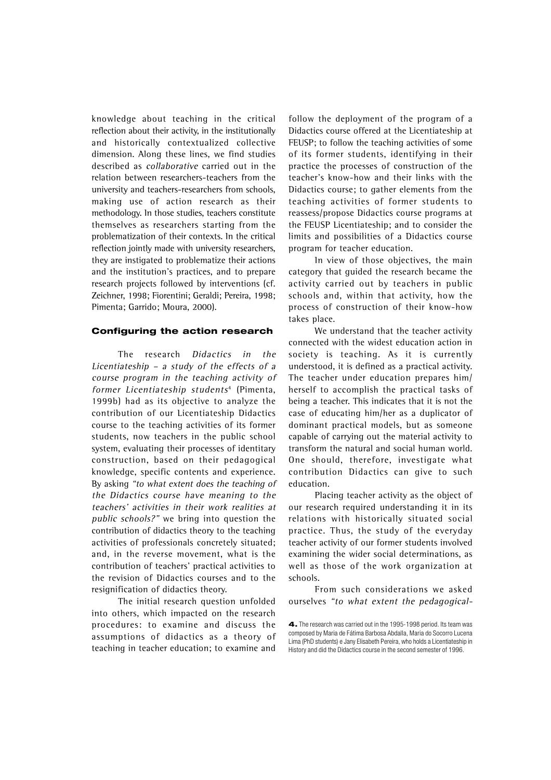knowledge about teaching in the critical reflection about their activity, in the institutionally and historically contextualized collective dimension. Along these lines, we find studies described as collaborative carried out in the relation between researchers-teachers from the university and teachers-researchers from schools, making use of action research as their methodology. In those studies, teachers constitute themselves as researchers starting from the problematization of their contexts. In the critical reflection jointly made with university researchers, they are instigated to problematize their actions and the institution's practices, and to prepare research projects followed by interventions (cf. Zeichner, 1998; Fiorentini; Geraldi; Pereira, 1998; Pimenta; Garrido; Moura, 2000).

### **Configuring the action research**

The research Didactics in the Licentiateship – a study of the effects of a course program in the teaching activity of former Licentiateship students<sup>4</sup> (Pimenta, 1999b) had as its objective to analyze the contribution of our Licentiateship Didactics course to the teaching activities of its former students, now teachers in the public school system, evaluating their processes of identitary construction, based on their pedagogical knowledge, specific contents and experience. By asking "to what extent does the teaching of the Didactics course have meaning to the teachers' activities in their work realities at public schools?" we bring into question the contribution of didactics theory to the teaching activities of professionals concretely situated; and, in the reverse movement, what is the contribution of teachers' practical activities to the revision of Didactics courses and to the resignification of didactics theory.

The initial research question unfolded into others, which impacted on the research procedures: to examine and discuss the assumptions of didactics as a theory of teaching in teacher education; to examine and follow the deployment of the program of a Didactics course offered at the Licentiateship at FEUSP; to follow the teaching activities of some of its former students, identifying in their practice the processes of construction of the teacher's know-how and their links with the Didactics course; to gather elements from the teaching activities of former students to reassess/propose Didactics course programs at the FEUSP Licentiateship; and to consider the limits and possibilities of a Didactics course program for teacher education.

In view of those objectives, the main category that guided the research became the activity carried out by teachers in public schools and, within that activity, how the process of construction of their know-how takes place.

We understand that the teacher activity connected with the widest education action in society is teaching. As it is currently understood, it is defined as a practical activity. The teacher under education prepares him/ herself to accomplish the practical tasks of being a teacher. This indicates that it is not the case of educating him/her as a duplicator of dominant practical models, but as someone capable of carrying out the material activity to transform the natural and social human world. One should, therefore, investigate what contribution Didactics can give to such education.

Placing teacher activity as the object of our research required understanding it in its relations with historically situated social practice. Thus, the study of the everyday teacher activity of our former students involved examining the wider social determinations, as well as those of the work organization at schools.

From such considerations we asked ourselves "to what extent the pedagogical-

**<sup>4.</sup>** The research was carried out in the 1995-1998 period. Its team was composed by Maria de Fátima Barbosa Abdalla, Maria do Socorro Lucena Lima (PhD students) e Jany Elisabeth Pereira, who holds a Licentiateship in History and did the Didactics course in the second semester of 1996.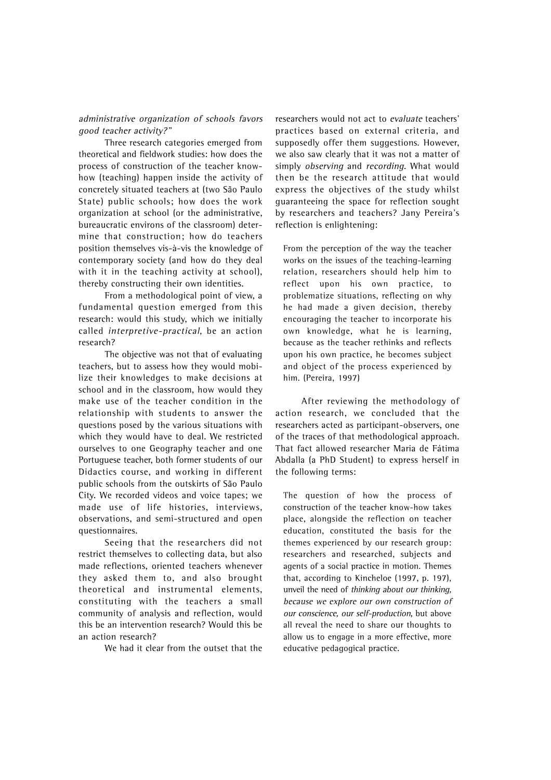### administrative organization of schools favors good teacher activity?"

Three research categories emerged from theoretical and fieldwork studies: how does the process of construction of the teacher knowhow (teaching) happen inside the activity of concretely situated teachers at (two São Paulo State) public schools; how does the work organization at school (or the administrative, bureaucratic environs of the classroom) determine that construction; how do teachers position themselves vis-à-vis the knowledge of contemporary society (and how do they deal with it in the teaching activity at school), thereby constructing their own identities.

From a methodological point of view, a fundamental question emerged from this research: would this study, which we initially called interpretive-practical, be an action research?

The objective was not that of evaluating teachers, but to assess how they would mobilize their knowledges to make decisions at school and in the classroom, how would they make use of the teacher condition in the relationship with students to answer the questions posed by the various situations with which they would have to deal. We restricted ourselves to one Geography teacher and one Portuguese teacher, both former students of our Didactics course, and working in different public schools from the outskirts of São Paulo City. We recorded videos and voice tapes; we made use of life histories, interviews, observations, and semi-structured and open questionnaires.

Seeing that the researchers did not restrict themselves to collecting data, but also made reflections, oriented teachers whenever they asked them to, and also brought theoretical and instrumental elements, constituting with the teachers a small community of analysis and reflection, would this be an intervention research? Would this be an action research?

We had it clear from the outset that the

researchers would not act to evaluate teachers' practices based on external criteria, and supposedly offer them suggestions. However, we also saw clearly that it was not a matter of simply observing and recording. What would then be the research attitude that would express the objectives of the study whilst guaranteeing the space for reflection sought by researchers and teachers? Jany Pereira's reflection is enlightening:

From the perception of the way the teacher works on the issues of the teaching-learning relation, researchers should help him to reflect upon his own practice, to problematize situations, reflecting on why he had made a given decision, thereby encouraging the teacher to incorporate his own knowledge, what he is learning, because as the teacher rethinks and reflects upon his own practice, he becomes subject and object of the process experienced by him. (Pereira, 1997)

After reviewing the methodology of action research, we concluded that the researchers acted as participant-observers, one of the traces of that methodological approach. That fact allowed researcher Maria de Fátima Abdalla (a PhD Student) to express herself in the following terms:

The question of how the process of construction of the teacher know-how takes place, alongside the reflection on teacher education, constituted the basis for the themes experienced by our research group: researchers and researched, subjects and agents of a social practice in motion. Themes that, according to Kincheloe (1997, p. 197), unveil the need of thinking about our thinking, because we explore our own construction of our conscience, our self-production, but above all reveal the need to share our thoughts to allow us to engage in a more effective, more educative pedagogical practice.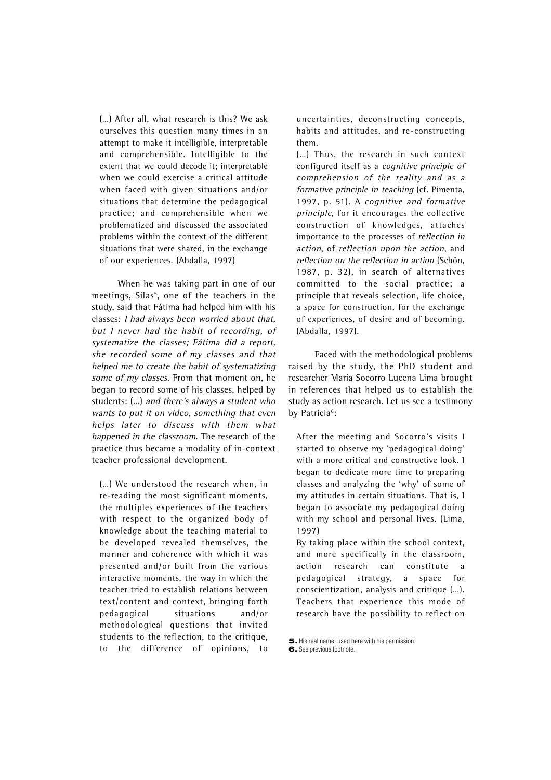(…) After all, what research is this? We ask ourselves this question many times in an attempt to make it intelligible, interpretable and comprehensible. Intelligible to the extent that we could decode it; interpretable when we could exercise a critical attitude when faced with given situations and/or situations that determine the pedagogical practice; and comprehensible when we problematized and discussed the associated problems within the context of the different situations that were shared, in the exchange of our experiences. (Abdalla, 1997)

When he was taking part in one of our meetings, Silas<sup>5</sup>, one of the teachers in the study, said that Fátima had helped him with his classes: I had always been worried about that, but I never had the habit of recording, of systematize the classes; Fátima did a report, she recorded some of my classes and that helped me to create the habit of systematizing some of my classes. From that moment on, he began to record some of his classes, helped by students: (…) and there's always a student who wants to put it on video, something that even helps later to discuss with them what happened in the classroom. The research of the practice thus became a modality of in-context teacher professional development.

(…) We understood the research when, in re-reading the most significant moments, the multiples experiences of the teachers with respect to the organized body of knowledge about the teaching material to be developed revealed themselves, the manner and coherence with which it was presented and/or built from the various interactive moments, the way in which the teacher tried to establish relations between text/content and context, bringing forth pedagogical situations and/or methodological questions that invited students to the reflection, to the critique, to the difference of opinions, to uncertainties, deconstructing concepts, habits and attitudes, and re-constructing them.

(…) Thus, the research in such context configured itself as a cognitive principle of comprehension of the reality and as a formative principle in teaching (cf. Pimenta, 1997, p. 51). A cognitive and formative principle, for it encourages the collective construction of knowledges, attaches importance to the processes of reflection in action, of reflection upon the action, and reflection on the reflection in action (Schön, 1987, p. 32), in search of alternatives committed to the social practice; a principle that reveals selection, life choice, a space for construction, for the exchange of experiences, of desire and of becoming. (Abdalla, 1997).

Faced with the methodological problems raised by the study, the PhD student and researcher Maria Socorro Lucena Lima brought in references that helped us to establish the study as action research. Let us see a testimony by Patrícia<sup>6</sup>:

After the meeting and Socorro's visits I started to observe my 'pedagogical doing' with a more critical and constructive look. I began to dedicate more time to preparing classes and analyzing the 'why' of some of my attitudes in certain situations. That is, I began to associate my pedagogical doing with my school and personal lives. (Lima, 1997)

By taking place within the school context, and more specifically in the classroom, action research can constitute a pedagogical strategy, a space for conscientization, analysis and critique (…). Teachers that experience this mode of research have the possibility to reflect on

**<sup>5.</sup>** His real name, used here with his permission. **6.** See previous footnote.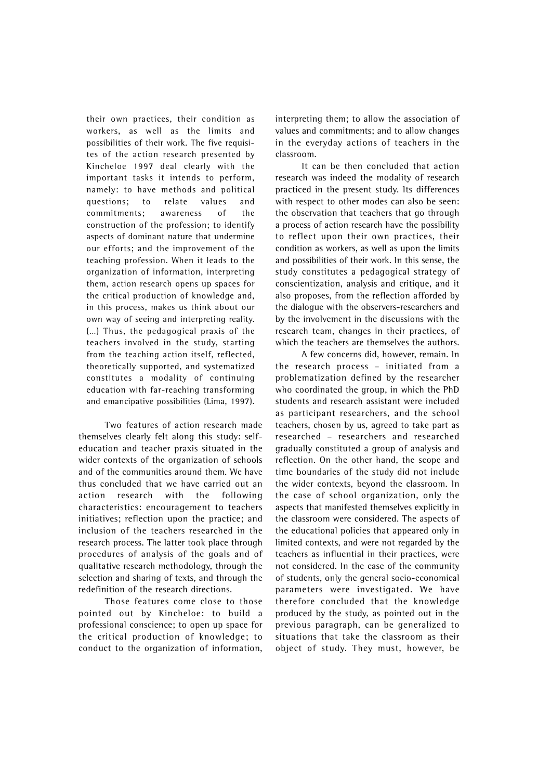their own practices, their condition as workers, as well as the limits and possibilities of their work. The five requisites of the action research presented by Kincheloe 1997 deal clearly with the important tasks it intends to perform, namely: to have methods and political questions; to relate values and commitments; awareness of the construction of the profession; to identify aspects of dominant nature that undermine our efforts; and the improvement of the teaching profession. When it leads to the organization of information, interpreting them, action research opens up spaces for the critical production of knowledge and, in this process, makes us think about our own way of seeing and interpreting reality. (…) Thus, the pedagogical praxis of the teachers involved in the study, starting from the teaching action itself, reflected, theoretically supported, and systematized constitutes a modality of continuing education with far-reaching transforming and emancipative possibilities (Lima, 1997).

Two features of action research made themselves clearly felt along this study: selfeducation and teacher praxis situated in the wider contexts of the organization of schools and of the communities around them. We have thus concluded that we have carried out an action research with the following characteristics: encouragement to teachers initiatives; reflection upon the practice; and inclusion of the teachers researched in the research process. The latter took place through procedures of analysis of the goals and of qualitative research methodology, through the selection and sharing of texts, and through the redefinition of the research directions.

Those features come close to those pointed out by Kincheloe: to build a professional conscience; to open up space for the critical production of knowledge; to conduct to the organization of information, interpreting them; to allow the association of values and commitments; and to allow changes in the everyday actions of teachers in the classroom.

It can be then concluded that action research was indeed the modality of research practiced in the present study. Its differences with respect to other modes can also be seen: the observation that teachers that go through a process of action research have the possibility to reflect upon their own practices, their condition as workers, as well as upon the limits and possibilities of their work. In this sense, the study constitutes a pedagogical strategy of conscientization, analysis and critique, and it also proposes, from the reflection afforded by the dialogue with the observers-researchers and by the involvement in the discussions with the research team, changes in their practices, of which the teachers are themselves the authors.

A few concerns did, however, remain. In the research process – initiated from a problematization defined by the researcher who coordinated the group, in which the PhD students and research assistant were included as participant researchers, and the school teachers, chosen by us, agreed to take part as researched – researchers and researched gradually constituted a group of analysis and reflection. On the other hand, the scope and time boundaries of the study did not include the wider contexts, beyond the classroom. In the case of school organization, only the aspects that manifested themselves explicitly in the classroom were considered. The aspects of the educational policies that appeared only in limited contexts, and were not regarded by the teachers as influential in their practices, were not considered. In the case of the community of students, only the general socio-economical parameters were investigated. We have therefore concluded that the knowledge produced by the study, as pointed out in the previous paragraph, can be generalized to situations that take the classroom as their object of study. They must, however, be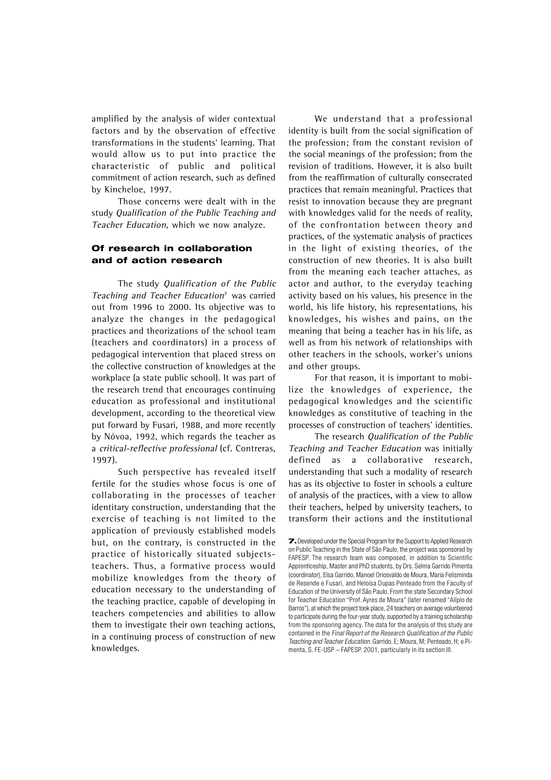amplified by the analysis of wider contextual factors and by the observation of effective transformations in the students' learning. That would allow us to put into practice the characteristic of public and political commitment of action research, such as defined by Kincheloe, 1997.

Those concerns were dealt with in the study Qualification of the Public Teaching and Teacher Education, which we now analyze.

## **Of research in collaboration and of action research**

The study Qualification of the Public Teaching and Teacher Education<sup>7</sup> was carried out from 1996 to 2000. Its objective was to analyze the changes in the pedagogical practices and theorizations of the school team (teachers and coordinators) in a process of pedagogical intervention that placed stress on the collective construction of knowledges at the workplace (a state public school). It was part of the research trend that encourages continuing education as professional and institutional development, according to the theoretical view put forward by Fusari, 1988, and more recently by Nóvoa, 1992, which regards the teacher as a critical-reflective professional (cf. Contreras, 1997).

Such perspective has revealed itself fertile for the studies whose focus is one of collaborating in the processes of teacher identitary construction, understanding that the exercise of teaching is not limited to the application of previously established models but, on the contrary, is constructed in the practice of historically situated subjectsteachers. Thus, a formative process would mobilize knowledges from the theory of education necessary to the understanding of the teaching practice, capable of developing in teachers competencies and abilities to allow them to investigate their own teaching actions, in a continuing process of construction of new knowledges.

We understand that a professional identity is built from the social signification of the profession; from the constant revision of the social meanings of the profession; from the revision of traditions. However, it is also built from the reaffirmation of culturally consecrated practices that remain meaningful. Practices that resist to innovation because they are pregnant with knowledges valid for the needs of reality, of the confrontation between theory and practices, of the systematic analysis of practices in the light of existing theories, of the construction of new theories. It is also built from the meaning each teacher attaches, as actor and author, to the everyday teaching activity based on his values, his presence in the world, his life history, his representations, his knowledges, his wishes and pains, on the meaning that being a teacher has in his life, as well as from his network of relationships with other teachers in the schools, worker's unions and other groups.

For that reason, it is important to mobilize the knowledges of experience, the pedagogical knowledges and the scientific knowledges as constitutive of teaching in the processes of construction of teachers' identities.

The research Qualification of the Public Teaching and Teacher Education was initially defined as a collaborative research, understanding that such a modality of research has as its objective to foster in schools a culture of analysis of the practices, with a view to allow their teachers, helped by university teachers, to transform their actions and the institutional

**<sup>7.</sup>** Developed under the Special Program for the Support to Applied Research on Public Teaching in the State of São Paulo, the project was sponsored by FAPESP. The research team was composed, in addition to Scientific Apprenticeship, Master and PhD students, by Drs. Selma Garrido Pimenta (coordinator), Elsa Garrido, Manoel Oriosvaldo de Moura, Maria Felisminda de Resende e Fusari, and Heloísa Dupas Penteado from the Faculty of Education of the University of São Paulo. From the state Secondary School for Teacher Education "Prof. Ayres de Moura" (later renamed "Alípio de Barros"), at which the project took place, 24 teachers on average volunteered to participate during the four-year study, supported by a training scholarship from the sponsoring agency. The data for the analysis of this study are contained in the Final Report of the Research Qualification of the Public Teaching and Teacher Education. Garrido, E; Moura, M; Penteado, H; e Pimenta, S. FE-USP – FAPESP. 2001, particularly in its section III.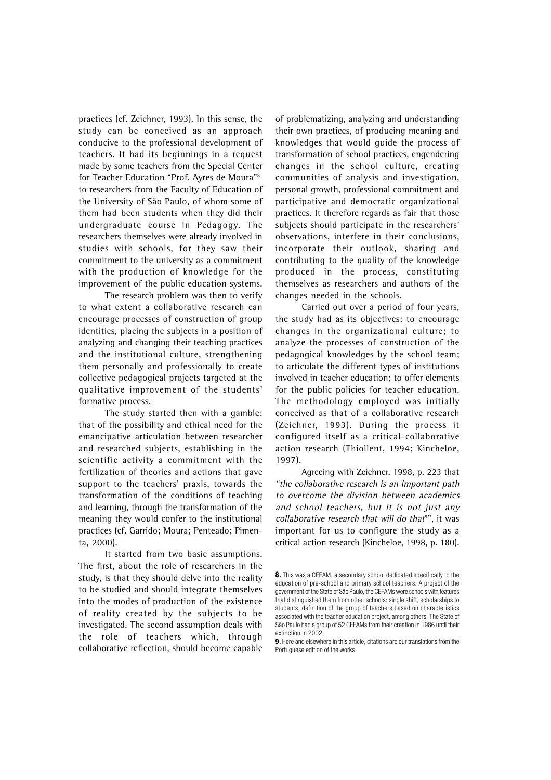practices (cf. Zeichner, 1993). In this sense, the study can be conceived as an approach conducive to the professional development of teachers. It had its beginnings in a request made by some teachers from the Special Center for Teacher Education "Prof. Ayres de Moura"8 to researchers from the Faculty of Education of the University of São Paulo, of whom some of them had been students when they did their undergraduate course in Pedagogy. The researchers themselves were already involved in studies with schools, for they saw their commitment to the university as a commitment with the production of knowledge for the improvement of the public education systems.

The research problem was then to verify to what extent a collaborative research can encourage processes of construction of group identities, placing the subjects in a position of analyzing and changing their teaching practices and the institutional culture, strengthening them personally and professionally to create collective pedagogical projects targeted at the qualitative improvement of the students' formative process.

The study started then with a gamble: that of the possibility and ethical need for the emancipative articulation between researcher and researched subjects, establishing in the scientific activity a commitment with the fertilization of theories and actions that gave support to the teachers' praxis, towards the transformation of the conditions of teaching and learning, through the transformation of the meaning they would confer to the institutional practices (cf. Garrido; Moura; Penteado; Pimenta, 2000).

It started from two basic assumptions. The first, about the role of researchers in the study, is that they should delve into the reality to be studied and should integrate themselves into the modes of production of the existence of reality created by the subjects to be investigated. The second assumption deals with the role of teachers which, through collaborative reflection, should become capable

of problematizing, analyzing and understanding their own practices, of producing meaning and knowledges that would guide the process of transformation of school practices, engendering changes in the school culture, creating communities of analysis and investigation, personal growth, professional commitment and participative and democratic organizational practices. It therefore regards as fair that those subjects should participate in the researchers' observations, interfere in their conclusions, incorporate their outlook, sharing and contributing to the quality of the knowledge produced in the process, constituting themselves as researchers and authors of the changes needed in the schools.

Carried out over a period of four years, the study had as its objectives: to encourage changes in the organizational culture; to analyze the processes of construction of the pedagogical knowledges by the school team; to articulate the different types of institutions involved in teacher education; to offer elements for the public policies for teacher education. The methodology employed was initially conceived as that of a collaborative research (Zeichner, 1993). During the process it configured itself as a critical-collaborative action research (Thiollent, 1994; Kincheloe, 1997).

Agreeing with Zeichner, 1998, p. 223 that "the collaborative research is an important path to overcome the division between academics and school teachers, but it is not just any collaborative research that will do that<sup>9</sup>", it was important for us to configure the study as a critical action research (Kincheloe, 1998, p. 180).

<sup>8.</sup> This was a CEFAM, a secondary school dedicated specifically to the education of pre-school and primary school teachers. A project of the government of the State of São Paulo, the CEFAMs were schools with features that distinguished them from other schools: single shift, scholarships to students, definition of the group of teachers based on characteristics associated with the teacher education project, among others. The State of São Paulo had a group of 52 CEFAMs from their creation in 1986 until their extinction in 2002.

<sup>9.</sup> Here and elsewhere in this article, citations are our translations from the Portuguese edition of the works.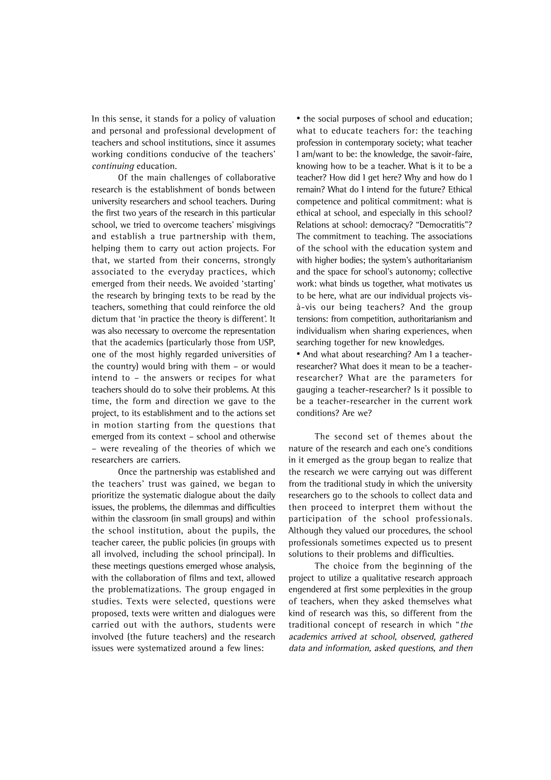In this sense, it stands for a policy of valuation and personal and professional development of teachers and school institutions, since it assumes working conditions conducive of the teachers' continuing education.

Of the main challenges of collaborative research is the establishment of bonds between university researchers and school teachers. During the first two years of the research in this particular school, we tried to overcome teachers' misgivings and establish a true partnership with them, helping them to carry out action projects. For that, we started from their concerns, strongly associated to the everyday practices, which emerged from their needs. We avoided 'starting' the research by bringing texts to be read by the teachers, something that could reinforce the old dictum that 'in practice the theory is different'. It was also necessary to overcome the representation that the academics (particularly those from USP, one of the most highly regarded universities of the country) would bring with them – or would intend to – the answers or recipes for what teachers should do to solve their problems. At this time, the form and direction we gave to the project, to its establishment and to the actions set in motion starting from the questions that emerged from its context – school and otherwise – were revealing of the theories of which we researchers are carriers.

Once the partnership was established and the teachers' trust was gained, we began to prioritize the systematic dialogue about the daily issues, the problems, the dilemmas and difficulties within the classroom (in small groups) and within the school institution, about the pupils, the teacher career, the public policies (in groups with all involved, including the school principal). In these meetings questions emerged whose analysis, with the collaboration of films and text, allowed the problematizations. The group engaged in studies. Texts were selected, questions were proposed, texts were written and dialogues were carried out with the authors, students were involved (the future teachers) and the research issues were systematized around a few lines:

• the social purposes of school and education; what to educate teachers for: the teaching profession in contemporary society; what teacher I am/want to be: the knowledge, the savoir-faire, knowing how to be a teacher. What is it to be a teacher? How did I get here? Why and how do I remain? What do I intend for the future? Ethical competence and political commitment: what is ethical at school, and especially in this school? Relations at school: democracy? "Democratitis"? The commitment to teaching. The associations of the school with the education system and with higher bodies; the system's authoritarianism and the space for school's autonomy; collective work: what binds us together, what motivates us to be here, what are our individual projects visà-vis our being teachers? And the group tensions: from competition, authoritarianism and individualism when sharing experiences, when searching together for new knowledges.

• And what about researching? Am I a teacherresearcher? What does it mean to be a teacherresearcher? What are the parameters for gauging a teacher-researcher? Is it possible to be a teacher-researcher in the current work conditions? Are we?

The second set of themes about the nature of the research and each one's conditions in it emerged as the group began to realize that the research we were carrying out was different from the traditional study in which the university researchers go to the schools to collect data and then proceed to interpret them without the participation of the school professionals. Although they valued our procedures, the school professionals sometimes expected us to present solutions to their problems and difficulties.

The choice from the beginning of the project to utilize a qualitative research approach engendered at first some perplexities in the group of teachers, when they asked themselves what kind of research was this, so different from the traditional concept of research in which "the academics arrived at school, observed, gathered data and information, asked questions, and then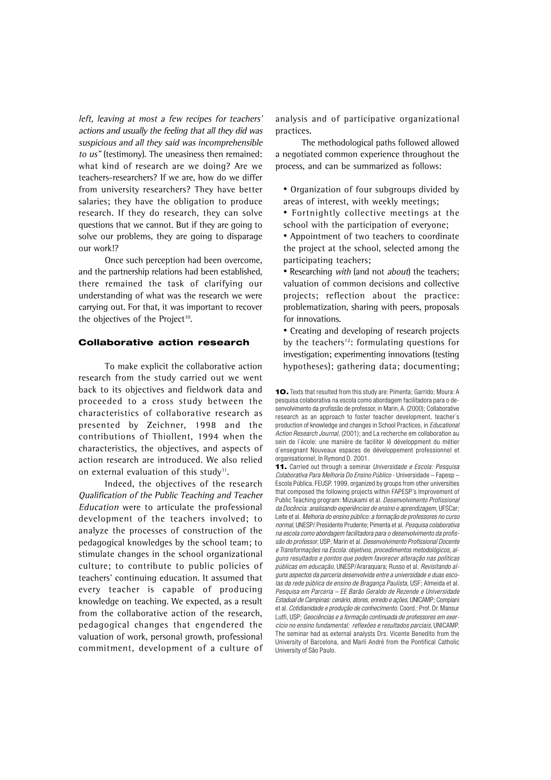left, leaving at most a few recipes for teachers' actions and usually the feeling that all they did was suspicious and all they said was incomprehensible to us" (testimony). The uneasiness then remained: what kind of research are we doing? Are we teachers-researchers? If we are, how do we differ from university researchers? They have better salaries; they have the obligation to produce research. If they do research, they can solve questions that we cannot. But if they are going to solve our problems, they are going to disparage our work!?

Once such perception had been overcome, and the partnership relations had been established, there remained the task of clarifying our understanding of what was the research we were carrying out. For that, it was important to recover the objectives of the Project<sup>10</sup>.

### **Collaborative action research**

To make explicit the collaborative action research from the study carried out we went back to its objectives and fieldwork data and proceeded to a cross study between the characteristics of collaborative research as presented by Zeichner, 1998 and the contributions of Thiollent, 1994 when the characteristics, the objectives, and aspects of action research are introduced. We also relied on external evaluation of this study<sup>11</sup>.

Indeed, the objectives of the research Qualification of the Public Teaching and Teacher Education were to articulate the professional development of the teachers involved; to analyze the processes of construction of the pedagogical knowledges by the school team; to stimulate changes in the school organizational culture; to contribute to public policies of teachers' continuing education. It assumed that every teacher is capable of producing knowledge on teaching. We expected, as a result from the collaborative action of the research, pedagogical changes that engendered the valuation of work, personal growth, professional commitment, development of a culture of analysis and of participative organizational practices.

The methodological paths followed allowed a negotiated common experience throughout the process, and can be summarized as follows:

- Organization of four subgroups divided by areas of interest, with weekly meetings;
- Fortnightly collective meetings at the school with the participation of everyone;

• Appointment of two teachers to coordinate the project at the school, selected among the participating teachers;

• Researching with (and not about) the teachers; valuation of common decisions and collective projects; reflection about the practice: problematization, sharing with peers, proposals for innovations.

• Creating and developing of research projects by the teachers<sup>12</sup>: formulating questions for investigation; experimenting innovations (testing hypotheses); gathering data; documenting;

**<sup>10.</sup>** Texts that resulted from this study are: Pimenta; Garrido; Moura: A pesquisa colaborativa na escola como abordagem facilitadora para o desenvolvimento da profissão de professor, in Marin, A. (2000); Collaborative research as an approach to foster teacher development, teacher´s production of knowledge and changes in School Practices, in Educational Action Research Journal, (2001); and La recherche em collaboration au sein de l´école: une manière de faciliter lê développment du métier d´ensegnant Nouveaux espaces de développement professionnel et organisationnel, In Rymond D. 2001.

**<sup>11.</sup>** Carried out through a seminar Universidade e Escola: Pesquisa Colaborativa Para Melhoria Do Ensino Público - Universidade – Fapesp – Escola Pública. FEUSP. 1999, organized by groups from other universities that composed the following projects within FAPESP's Improvement of Public Teaching program: Mizukami et al. Desenvolvimento Profissional da Docência: analisando experiências de ensino e aprendizagem, UFSCar; Leite et al. Melhoria do ensino público: a formação de professores no curso normal, UNESP/ Presidente Prudente; Pimenta et al. Pesquisa colaborativa na escola como abordagem facilitadora para o desenvolvimento da profissão do professor, USP; Marin et al. Desenvolvimento Profissional Docente e Transformações na Escola: objetivos, procedimentos metodológicos, alguns resultados e pontos que podem favorecer alteração nas políticas públicas em educação, UNESP/Araraquara; Russo et al. Revisitando alguns aspectos da parceria desenvolvida entre a universidade e duas escolas da rede pública de ensino de Bragança Paulista, USF; Almeida et al. Pesquisa em Parceria – EE Barão Geraldo de Rezende e Universidade Estadual de Campinas: cenário, atores, enredo e ações, UNICAMP; Compiani et al. Cotidianidade e produção de conhecimento. Coord.: Prof. Dr. Mansur Lutfi, USP; Geociências e a formação continuada de professores em exercício no ensino fundamental: reflexões e resultados parciais, UNICAMP. The seminar had as external analysts Drs. Vicente Benedito from the University of Barcelona, and Marli André from the Pontifical Catholic University of São Paulo.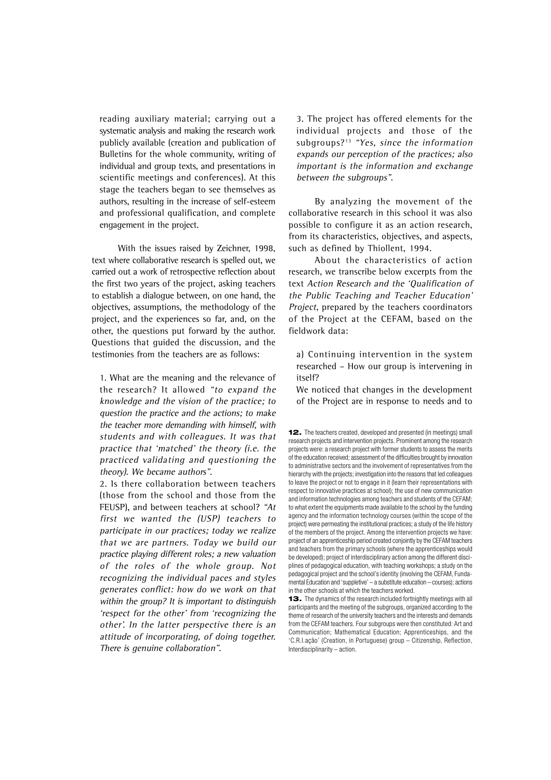reading auxiliary material; carrying out a systematic analysis and making the research work publicly available (creation and publication of Bulletins for the whole community, writing of individual and group texts, and presentations in scientific meetings and conferences). At this stage the teachers began to see themselves as authors, resulting in the increase of self-esteem and professional qualification, and complete engagement in the project.

With the issues raised by Zeichner, 1998, text where collaborative research is spelled out, we carried out a work of retrospective reflection about the first two years of the project, asking teachers to establish a dialogue between, on one hand, the objectives, assumptions, the methodology of the project, and the experiences so far, and, on the other, the questions put forward by the author. Questions that guided the discussion, and the testimonies from the teachers are as follows:

1. What are the meaning and the relevance of the research? It allowed "to expand the knowledge and the vision of the practice; to question the practice and the actions; to make the teacher more demanding with himself, with students and with colleagues. It was that practice that 'matched' the theory (i.e. the practiced validating and questioning the theory). We became authors".

2. Is there collaboration between teachers (those from the school and those from the FEUSP), and between teachers at school? "At first we wanted the (USP) teachers to participate in our practices; today we realize that we are partners. Today we build our practice playing different roles; a new valuation of the roles of the whole group. Not recognizing the individual paces and styles generates conflict: how do we work on that within the group? It is important to distinguish 'respect for the other' from 'recognizing the other'. In the latter perspective there is an attitude of incorporating, of doing together. There is genuine collaboration".

3. The project has offered elements for the individual projects and those of the subgroups? $13$  "Yes, since the information expands our perception of the practices; also important is the information and exchange between the subgroups".

By analyzing the movement of the collaborative research in this school it was also possible to configure it as an action research, from its characteristics, objectives, and aspects, such as defined by Thiollent, 1994.

About the characteristics of action research, we transcribe below excerpts from the text Action Research and the 'Qualification of the Public Teaching and Teacher Education' Project, prepared by the teachers coordinators of the Project at the CEFAM, based on the fieldwork data:

a) Continuing intervention in the system researched – How our group is intervening in itself?

We noticed that changes in the development of the Project are in response to needs and to

**12.** The teachers created, developed and presented (in meetings) small research projects and intervention projects. Prominent among the research projects were: a research project with former students to assess the merits of the education received; assessment of the difficulties brought by innovation to administrative sectors and the involvement of representatives from the hierarchy with the projects: investigation into the reasons that led colleagues to leave the project or not to engage in it (learn their representations with respect to innovative practices at school); the use of new communication and information technologies among teachers and students of the CEFAM; to what extent the equipments made available to the school by the funding agency and the information technology courses (within the scope of the project) were permeating the institutional practices; a study of the life history of the members of the project. Among the intervention projects we have: project of an apprenticeship period created conjointly by the CEFAM teachers and teachers from the primary schools (where the apprenticeships would be developed); project of interdisciplinary action among the different disciplines of pedagogical education, with teaching workshops; a study on the pedagogical project and the school's identity (involving the CEFAM, Fundamental Education and 'suppletive' – a substitute education – courses); actions in the other schools at which the teachers worked.

**13.** The dynamics of the research included fortnightly meetings with all participants and the meeting of the subgroups, organized according to the theme of research of the university teachers and the interests and demands from the CEFAM teachers. Four subgroups were then constituted: Art and Communication; Mathematical Education; Apprenticeships, and the 'C.R.I.ação' (Creation, in Portuguese) group – Citizenship, Reflection, Interdisciplinarity – action.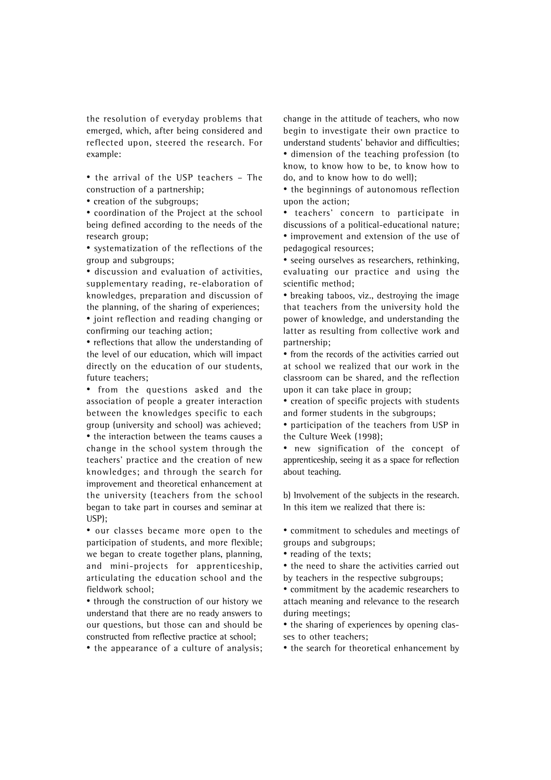the resolution of everyday problems that emerged, which, after being considered and reflected upon, steered the research. For example:

• the arrival of the USP teachers – The construction of a partnership;

• creation of the subgroups;

• coordination of the Project at the school being defined according to the needs of the research group;

• systematization of the reflections of the group and subgroups;

• discussion and evaluation of activities, supplementary reading, re-elaboration of knowledges, preparation and discussion of the planning, of the sharing of experiences; • joint reflection and reading changing or confirming our teaching action;

• reflections that allow the understanding of the level of our education, which will impact directly on the education of our students, future teachers;

• from the questions asked and the association of people a greater interaction between the knowledges specific to each group (university and school) was achieved; • the interaction between the teams causes a change in the school system through the teachers' practice and the creation of new knowledges; and through the search for improvement and theoretical enhancement at the university (teachers from the school began to take part in courses and seminar at USP);

• our classes became more open to the participation of students, and more flexible; we began to create together plans, planning, and mini-projects for apprenticeship, articulating the education school and the fieldwork school;

• through the construction of our history we understand that there are no ready answers to our questions, but those can and should be constructed from reflective practice at school;

• the appearance of a culture of analysis;

change in the attitude of teachers, who now begin to investigate their own practice to understand students' behavior and difficulties; • dimension of the teaching profession (to know, to know how to be, to know how to do, and to know how to do well);

• the beginnings of autonomous reflection upon the action;

• teachers' concern to participate in discussions of a political-educational nature; • improvement and extension of the use of pedagogical resources;

• seeing ourselves as researchers, rethinking, evaluating our practice and using the scientific method;

• breaking taboos, viz., destroying the image that teachers from the university hold the power of knowledge, and understanding the latter as resulting from collective work and partnership;

• from the records of the activities carried out at school we realized that our work in the classroom can be shared, and the reflection upon it can take place in group;

• creation of specific projects with students and former students in the subgroups;

• participation of the teachers from USP in the Culture Week (1998);

• new signification of the concept of apprenticeship, seeing it as a space for reflection about teaching.

b) Involvement of the subjects in the research. In this item we realized that there is:

• commitment to schedules and meetings of groups and subgroups;

• reading of the texts;

• the need to share the activities carried out by teachers in the respective subgroups;

• commitment by the academic researchers to attach meaning and relevance to the research during meetings;

• the sharing of experiences by opening classes to other teachers;

• the search for theoretical enhancement by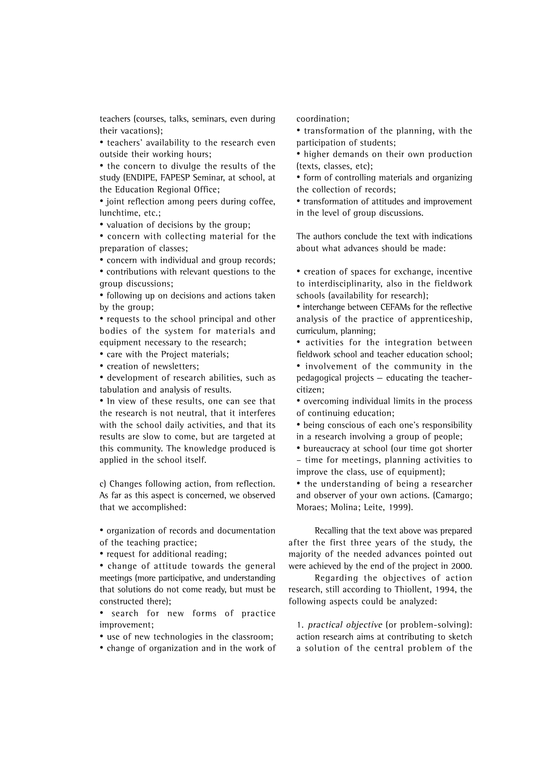teachers (courses, talks, seminars, even during their vacations);

• teachers' availability to the research even outside their working hours;

• the concern to divulge the results of the study (ENDIPE, FAPESP Seminar, at school, at the Education Regional Office;

• joint reflection among peers during coffee, lunchtime, etc.;

• valuation of decisions by the group;

• concern with collecting material for the preparation of classes;

• concern with individual and group records;

• contributions with relevant questions to the group discussions;

• following up on decisions and actions taken by the group;

• requests to the school principal and other bodies of the system for materials and equipment necessary to the research;

• care with the Project materials;

• creation of newsletters;

• development of research abilities, such as tabulation and analysis of results.

• In view of these results, one can see that the research is not neutral, that it interferes with the school daily activities, and that its results are slow to come, but are targeted at this community. The knowledge produced is applied in the school itself.

c) Changes following action, from reflection. As far as this aspect is concerned, we observed that we accomplished:

• organization of records and documentation of the teaching practice;

• request for additional reading;

• change of attitude towards the general meetings (more participative, and understanding that solutions do not come ready, but must be constructed there);

• search for new forms of practice improvement;

• use of new technologies in the classroom;

• change of organization and in the work of

coordination;

• transformation of the planning, with the participation of students;

• higher demands on their own production (texts, classes, etc);

• form of controlling materials and organizing the collection of records;

• transformation of attitudes and improvement in the level of group discussions.

The authors conclude the text with indications about what advances should be made:

• creation of spaces for exchange, incentive to interdisciplinarity, also in the fieldwork schools (availability for research);

• interchange between CEFAMs for the reflective analysis of the practice of apprenticeship, curriculum, planning;

• activities for the integration between fieldwork school and teacher education school;

• involvement of the community in the pedagogical projects — educating the teachercitizen;

• overcoming individual limits in the process of continuing education;

• being conscious of each one's responsibility in a research involving a group of people;

• bureaucracy at school (our time got shorter – time for meetings, planning activities to improve the class, use of equipment);

• the understanding of being a researcher and observer of your own actions. (Camargo; Moraes; Molina; Leite, 1999).

Recalling that the text above was prepared after the first three years of the study, the majority of the needed advances pointed out were achieved by the end of the project in 2000.

Regarding the objectives of action research, still according to Thiollent, 1994, the following aspects could be analyzed:

1. practical objective (or problem-solving): action research aims at contributing to sketch a solution of the central problem of the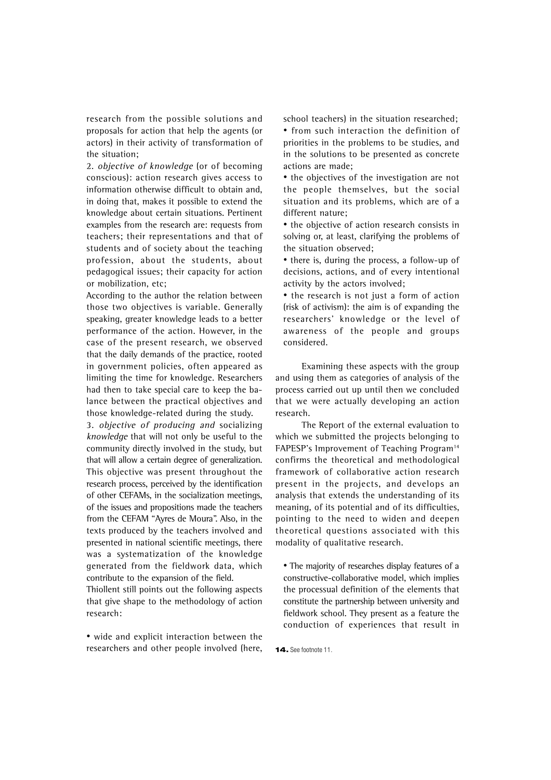research from the possible solutions and proposals for action that help the agents (or actors) in their activity of transformation of the situation;

2. objective of knowledge (or of becoming conscious): action research gives access to information otherwise difficult to obtain and, in doing that, makes it possible to extend the knowledge about certain situations. Pertinent examples from the research are: requests from teachers; their representations and that of students and of society about the teaching profession, about the students, about pedagogical issues; their capacity for action or mobilization, etc;

According to the author the relation between those two objectives is variable. Generally speaking, greater knowledge leads to a better performance of the action. However, in the case of the present research, we observed that the daily demands of the practice, rooted in government policies, often appeared as limiting the time for knowledge. Researchers had then to take special care to keep the balance between the practical objectives and those knowledge-related during the study.

3. objective of producing and socializing knowledge that will not only be useful to the community directly involved in the study, but that will allow a certain degree of generalization. This objective was present throughout the research process, perceived by the identification of other CEFAMs, in the socialization meetings, of the issues and propositions made the teachers from the CEFAM "Ayres de Moura". Also, in the texts produced by the teachers involved and presented in national scientific meetings, there was a systematization of the knowledge generated from the fieldwork data, which contribute to the expansion of the field.

Thiollent still points out the following aspects that give shape to the methodology of action research:

• wide and explicit interaction between the researchers and other people involved (here, school teachers) in the situation researched;

• from such interaction the definition of priorities in the problems to be studies, and in the solutions to be presented as concrete actions are made;

• the objectives of the investigation are not the people themselves, but the social situation and its problems, which are of a different nature;

• the objective of action research consists in solving or, at least, clarifying the problems of the situation observed;

• there is, during the process, a follow-up of decisions, actions, and of every intentional activity by the actors involved;

• the research is not just a form of action (risk of activism): the aim is of expanding the researchers' knowledge or the level of awareness of the people and groups considered.

Examining these aspects with the group and using them as categories of analysis of the process carried out up until then we concluded that we were actually developing an action research.

The Report of the external evaluation to which we submitted the projects belonging to FAPESP's Improvement of Teaching Program<sup>14</sup> confirms the theoretical and methodological framework of collaborative action research present in the projects, and develops an analysis that extends the understanding of its meaning, of its potential and of its difficulties, pointing to the need to widen and deepen theoretical questions associated with this modality of qualitative research.

• The majority of researches display features of a constructive-collaborative model, which implies the processual definition of the elements that constitute the partnership between university and fieldwork school. They present as a feature the conduction of experiences that result in

**14.** See footnote 11.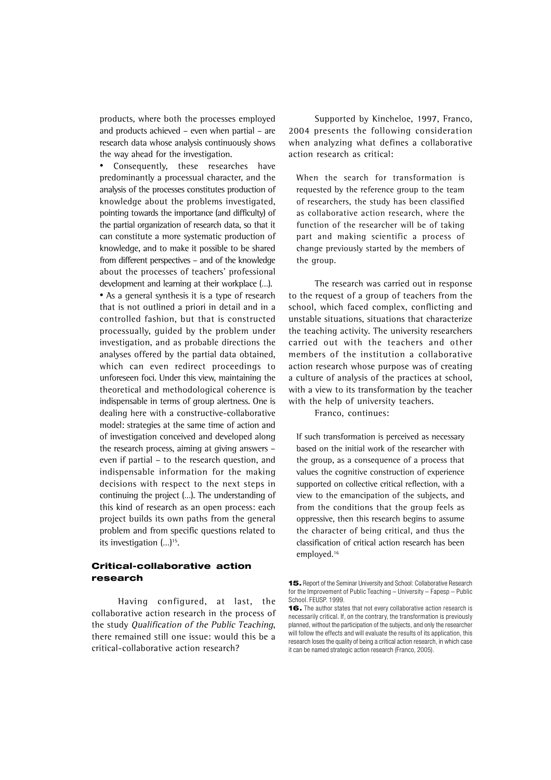products, where both the processes employed and products achieved – even when partial – are research data whose analysis continuously shows the way ahead for the investigation.

Consequently, these researches have predominantly a processual character, and the analysis of the processes constitutes production of knowledge about the problems investigated, pointing towards the importance (and difficulty) of the partial organization of research data, so that it can constitute a more systematic production of knowledge, and to make it possible to be shared from different perspectives – and of the knowledge about the processes of teachers' professional development and learning at their workplace (…). • As a general synthesis it is a type of research that is not outlined a priori in detail and in a controlled fashion, but that is constructed processually, guided by the problem under investigation, and as probable directions the analyses offered by the partial data obtained, which can even redirect proceedings to unforeseen foci. Under this view, maintaining the theoretical and methodological coherence is indispensable in terms of group alertness. One is dealing here with a constructive-collaborative model: strategies at the same time of action and of investigation conceived and developed along the research process, aiming at giving answers – even if partial – to the research question, and indispensable information for the making decisions with respect to the next steps in continuing the project (…). The understanding of this kind of research as an open process: each project builds its own paths from the general problem and from specific questions related to its investigation  $(...)$ <sup>15</sup>.

# **Critical-collaborative action research**

Having configured, at last, the collaborative action research in the process of the study Qualification of the Public Teaching, there remained still one issue: would this be a critical-collaborative action research?

Supported by Kincheloe, 1997, Franco, 2004 presents the following consideration when analyzing what defines a collaborative action research as critical:

When the search for transformation is requested by the reference group to the team of researchers, the study has been classified as collaborative action research, where the function of the researcher will be of taking part and making scientific a process of change previously started by the members of the group.

The research was carried out in response to the request of a group of teachers from the school, which faced complex, conflicting and unstable situations, situations that characterize the teaching activity. The university researchers carried out with the teachers and other members of the institution a collaborative action research whose purpose was of creating a culture of analysis of the practices at school, with a view to its transformation by the teacher with the help of university teachers.

Franco, continues:

If such transformation is perceived as necessary based on the initial work of the researcher with the group, as a consequence of a process that values the cognitive construction of experience supported on collective critical reflection, with a view to the emancipation of the subjects, and from the conditions that the group feels as oppressive, then this research begins to assume the character of being critical, and thus the classification of critical action research has been employed.16

**<sup>15.</sup>** Report of the Seminar University and School: Collaborative Research for the Improvement of Public Teaching – University – Fapesp – Public School. FEUSP. 1999.

**<sup>16.</sup>** The author states that not every collaborative action research is necessarily critical. If, on the contrary, the transformation is previously planned, without the participation of the subjects, and only the researcher will follow the effects and will evaluate the results of its application, this research loses the quality of being a critical action research, in which case it can be named strategic action research (Franco, 2005).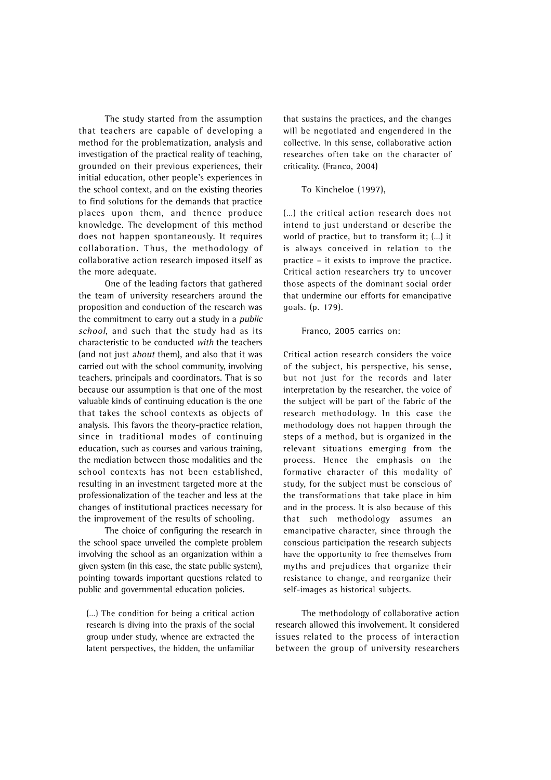The study started from the assumption that teachers are capable of developing a method for the problematization, analysis and investigation of the practical reality of teaching, grounded on their previous experiences, their initial education, other people's experiences in the school context, and on the existing theories to find solutions for the demands that practice places upon them, and thence produce knowledge. The development of this method does not happen spontaneously. It requires collaboration. Thus, the methodology of collaborative action research imposed itself as the more adequate.

One of the leading factors that gathered the team of university researchers around the proposition and conduction of the research was the commitment to carry out a study in a public school, and such that the study had as its characteristic to be conducted with the teachers (and not just about them), and also that it was carried out with the school community, involving teachers, principals and coordinators. That is so because our assumption is that one of the most valuable kinds of continuing education is the one that takes the school contexts as objects of analysis. This favors the theory-practice relation, since in traditional modes of continuing education, such as courses and various training, the mediation between those modalities and the school contexts has not been established, resulting in an investment targeted more at the professionalization of the teacher and less at the changes of institutional practices necessary for the improvement of the results of schooling.

The choice of configuring the research in the school space unveiled the complete problem involving the school as an organization within a given system (in this case, the state public system), pointing towards important questions related to public and governmental education policies.

(…) The condition for being a critical action research is diving into the praxis of the social group under study, whence are extracted the latent perspectives, the hidden, the unfamiliar that sustains the practices, and the changes will be negotiated and engendered in the collective. In this sense, collaborative action researches often take on the character of criticality. (Franco, 2004)

### To Kincheloe (1997),

(…) the critical action research does not intend to just understand or describe the world of practice, but to transform it; (…) it is always conceived in relation to the practice – it exists to improve the practice. Critical action researchers try to uncover those aspects of the dominant social order that undermine our efforts for emancipative goals. (p. 179).

### Franco, 2005 carries on:

Critical action research considers the voice of the subject, his perspective, his sense, but not just for the records and later interpretation by the researcher, the voice of the subject will be part of the fabric of the research methodology. In this case the methodology does not happen through the steps of a method, but is organized in the relevant situations emerging from the process. Hence the emphasis on the formative character of this modality of study, for the subject must be conscious of the transformations that take place in him and in the process. It is also because of this that such methodology assumes an emancipative character, since through the conscious participation the research subjects have the opportunity to free themselves from myths and prejudices that organize their resistance to change, and reorganize their self-images as historical subjects.

The methodology of collaborative action research allowed this involvement. It considered issues related to the process of interaction between the group of university researchers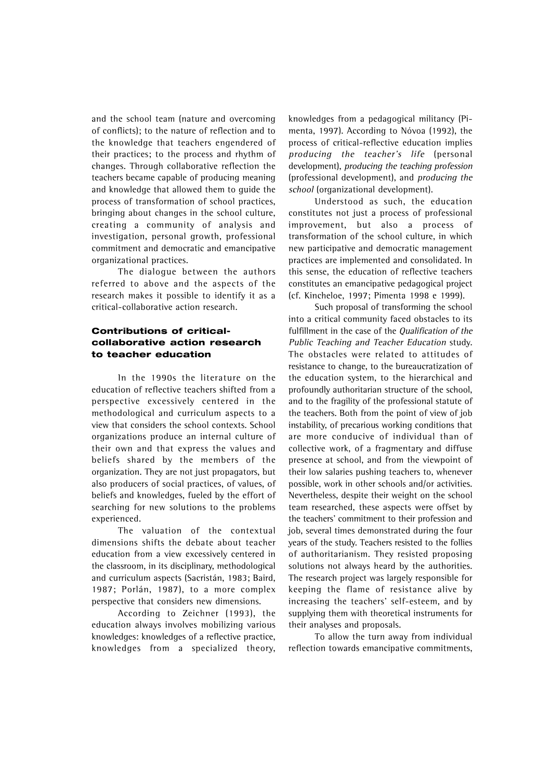and the school team (nature and overcoming of conflicts); to the nature of reflection and to the knowledge that teachers engendered of their practices; to the process and rhythm of changes. Through collaborative reflection the teachers became capable of producing meaning and knowledge that allowed them to guide the process of transformation of school practices, bringing about changes in the school culture, creating a community of analysis and investigation, personal growth, professional commitment and democratic and emancipative organizational practices.

The dialogue between the authors referred to above and the aspects of the research makes it possible to identify it as a critical-collaborative action research.

# **Contributions of criticalcollaborative action research to teacher education**

In the 1990s the literature on the education of reflective teachers shifted from a perspective excessively centered in the methodological and curriculum aspects to a view that considers the school contexts. School organizations produce an internal culture of their own and that express the values and beliefs shared by the members of the organization. They are not just propagators, but also producers of social practices, of values, of beliefs and knowledges, fueled by the effort of searching for new solutions to the problems experienced.

The valuation of the contextual dimensions shifts the debate about teacher education from a view excessively centered in the classroom, in its disciplinary, methodological and curriculum aspects (Sacristán, 1983; Baird, 1987; Porlán, 1987), to a more complex perspective that considers new dimensions.

According to Zeichner (1993), the education always involves mobilizing various knowledges: knowledges of a reflective practice, knowledges from a specialized theory, knowledges from a pedagogical militancy (Pimenta, 1997). According to Nóvoa (1992), the process of critical-reflective education implies producing the teacher's life (personal development), producing the teaching profession (professional development), and producing the school (organizational development).

Understood as such, the education constitutes not just a process of professional improvement, but also a process of transformation of the school culture, in which new participative and democratic management practices are implemented and consolidated. In this sense, the education of reflective teachers constitutes an emancipative pedagogical project (cf. Kincheloe, 1997; Pimenta 1998 e 1999).

Such proposal of transforming the school into a critical community faced obstacles to its fulfillment in the case of the Qualification of the Public Teaching and Teacher Education study. The obstacles were related to attitudes of resistance to change, to the bureaucratization of the education system, to the hierarchical and profoundly authoritarian structure of the school, and to the fragility of the professional statute of the teachers. Both from the point of view of job instability, of precarious working conditions that are more conducive of individual than of collective work, of a fragmentary and diffuse presence at school, and from the viewpoint of their low salaries pushing teachers to, whenever possible, work in other schools and/or activities. Nevertheless, despite their weight on the school team researched, these aspects were offset by the teachers' commitment to their profession and job, several times demonstrated during the four years of the study. Teachers resisted to the follies of authoritarianism. They resisted proposing solutions not always heard by the authorities. The research project was largely responsible for keeping the flame of resistance alive by increasing the teachers' self-esteem, and by supplying them with theoretical instruments for their analyses and proposals.

To allow the turn away from individual reflection towards emancipative commitments,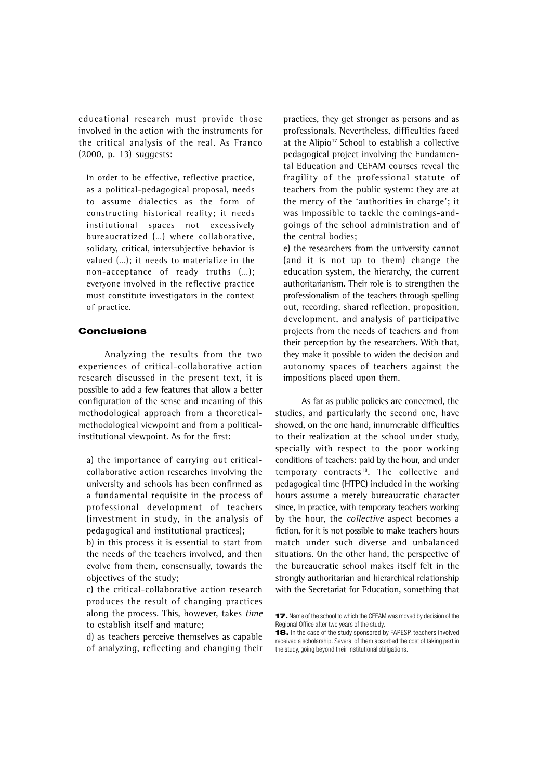educational research must provide those involved in the action with the instruments for the critical analysis of the real. As Franco (2000, p. 13) suggests:

In order to be effective, reflective practice, as a political-pedagogical proposal, needs to assume dialectics as the form of constructing historical reality; it needs institutional spaces not excessively bureaucratized (…) where collaborative, solidary, critical, intersubjective behavior is valued (…); it needs to materialize in the non-acceptance of ready truths (…); everyone involved in the reflective practice must constitute investigators in the context of practice.

## **Conclusions**

Analyzing the results from the two experiences of critical-collaborative action research discussed in the present text, it is possible to add a few features that allow a better configuration of the sense and meaning of this methodological approach from a theoreticalmethodological viewpoint and from a politicalinstitutional viewpoint. As for the first:

a) the importance of carrying out criticalcollaborative action researches involving the university and schools has been confirmed as a fundamental requisite in the process of professional development of teachers (investment in study, in the analysis of pedagogical and institutional practices);

b) in this process it is essential to start from the needs of the teachers involved, and then evolve from them, consensually, towards the objectives of the study;

c) the critical-collaborative action research produces the result of changing practices along the process. This, however, takes time to establish itself and mature;

d) as teachers perceive themselves as capable of analyzing, reflecting and changing their practices, they get stronger as persons and as professionals. Nevertheless, difficulties faced at the Alípio<sup>17</sup> School to establish a collective pedagogical project involving the Fundamental Education and CEFAM courses reveal the fragility of the professional statute of teachers from the public system: they are at the mercy of the 'authorities in charge'; it was impossible to tackle the comings-andgoings of the school administration and of the central bodies;

e) the researchers from the university cannot (and it is not up to them) change the education system, the hierarchy, the current authoritarianism. Their role is to strengthen the professionalism of the teachers through spelling out, recording, shared reflection, proposition, development, and analysis of participative projects from the needs of teachers and from their perception by the researchers. With that, they make it possible to widen the decision and autonomy spaces of teachers against the impositions placed upon them.

As far as public policies are concerned, the studies, and particularly the second one, have showed, on the one hand, innumerable difficulties to their realization at the school under study, specially with respect to the poor working conditions of teachers: paid by the hour, and under temporary contracts $18$ . The collective and pedagogical time (HTPC) included in the working hours assume a merely bureaucratic character since, in practice, with temporary teachers working by the hour, the collective aspect becomes a fiction, for it is not possible to make teachers hours match under such diverse and unbalanced situations. On the other hand, the perspective of the bureaucratic school makes itself felt in the strongly authoritarian and hierarchical relationship with the Secretariat for Education, something that

**<sup>17.</sup>** Name of the school to which the CEFAM was moved by decision of the Regional Office after two years of the study.

**<sup>18.</sup>** In the case of the study sponsored by FAPESP, teachers involved received a scholarship. Several of them absorbed the cost of taking part in the study, going beyond their institutional obligations.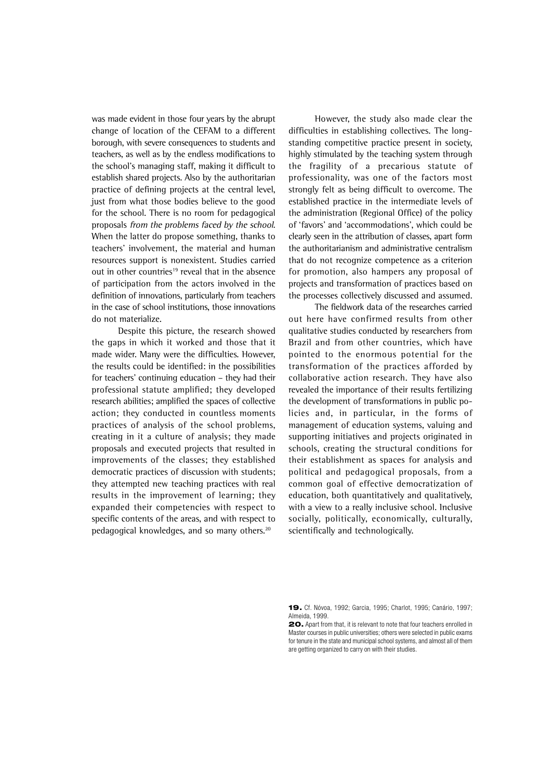was made evident in those four years by the abrupt change of location of the CEFAM to a different borough, with severe consequences to students and teachers, as well as by the endless modifications to the school's managing staff, making it difficult to establish shared projects. Also by the authoritarian practice of defining projects at the central level, just from what those bodies believe to the good for the school. There is no room for pedagogical proposals from the problems faced by the school. When the latter do propose something, thanks to teachers' involvement, the material and human resources support is nonexistent. Studies carried out in other countries<sup>19</sup> reveal that in the absence of participation from the actors involved in the definition of innovations, particularly from teachers in the case of school institutions, those innovations do not materialize.

Despite this picture, the research showed the gaps in which it worked and those that it made wider. Many were the difficulties. However, the results could be identified: in the possibilities for teachers' continuing education – they had their professional statute amplified; they developed research abilities; amplified the spaces of collective action; they conducted in countless moments practices of analysis of the school problems, creating in it a culture of analysis; they made proposals and executed projects that resulted in improvements of the classes; they established democratic practices of discussion with students; they attempted new teaching practices with real results in the improvement of learning; they expanded their competencies with respect to specific contents of the areas, and with respect to pedagogical knowledges, and so many others.<sup>20</sup>

However, the study also made clear the difficulties in establishing collectives. The longstanding competitive practice present in society, highly stimulated by the teaching system through the fragility of a precarious statute of professionality, was one of the factors most strongly felt as being difficult to overcome. The established practice in the intermediate levels of the administration (Regional Office) of the policy of 'favors' and 'accommodations', which could be clearly seen in the attribution of classes, apart form the authoritarianism and administrative centralism that do not recognize competence as a criterion for promotion, also hampers any proposal of projects and transformation of practices based on the processes collectively discussed and assumed.

The fieldwork data of the researches carried out here have confirmed results from other qualitative studies conducted by researchers from Brazil and from other countries, which have pointed to the enormous potential for the transformation of the practices afforded by collaborative action research. They have also revealed the importance of their results fertilizing the development of transformations in public policies and, in particular, in the forms of management of education systems, valuing and supporting initiatives and projects originated in schools, creating the structural conditions for their establishment as spaces for analysis and political and pedagogical proposals, from a common goal of effective democratization of education, both quantitatively and qualitatively, with a view to a really inclusive school. Inclusive socially, politically, economically, culturally, scientifically and technologically.

**<sup>19.</sup>** Cf. Nóvoa, 1992; Garcia, 1995; Charlot, 1995; Canário, 1997; Almeida, 1999.

**<sup>20.</sup>** Apart from that, it is relevant to note that four teachers enrolled in Master courses in public universities; others were selected in public exams for tenure in the state and municipal school systems, and almost all of them are getting organized to carry on with their studies.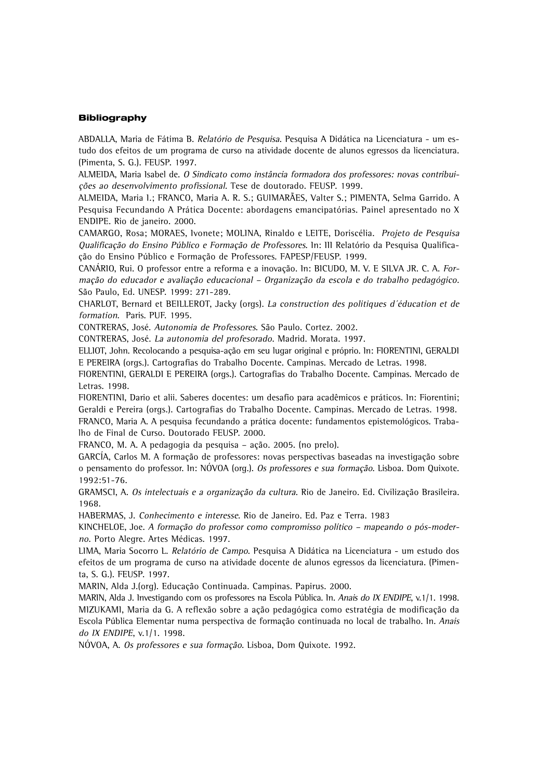### **Bibliography**

ABDALLA, Maria de Fátima B. Relatório de Pesquisa. Pesquisa A Didática na Licenciatura - um estudo dos efeitos de um programa de curso na atividade docente de alunos egressos da licenciatura. (Pimenta, S. G.). FEUSP. 1997.

ALMEIDA, Maria Isabel de. O Sindicato como instância formadora dos professores: novas contribuições ao desenvolvimento profissional. Tese de doutorado. FEUSP. 1999.

ALMEIDA, Maria I.; FRANCO, Maria A. R. S.; GUIMARÃES, Valter S.; PIMENTA, Selma Garrido. A Pesquisa Fecundando A Prática Docente: abordagens emancipatórias. Painel apresentado no X ENDIPE. Rio de janeiro. 2000.

CAMARGO, Rosa; MORAES, Ivonete; MOLINA, Rinaldo e LEITE, Doriscélia. Projeto de Pesquisa Qualificação do Ensino Público e Formação de Professores. In: III Relatório da Pesquisa Qualificação do Ensino Público e Formação de Professores. FAPESP/FEUSP. 1999.

CANÁRIO, Rui. O professor entre a reforma e a inovação. In: BICUDO, M. V. E SILVA JR. C. A. Formação do educador e avaliação educacional – Organização da escola e do trabalho pedagógico. São Paulo, Ed. UNESP. 1999: 271-289.

CHARLOT, Bernard et BEILLEROT, Jacky (orgs). La construction des politiques d´éducation et de formation. Paris. PUF. 1995.

CONTRERAS, José. Autonomia de Professores. São Paulo. Cortez. 2002.

CONTRERAS, José. La autonomia del profesorado. Madrid. Morata. 1997.

ELLIOT, John. Recolocando a pesquisa-ação em seu lugar original e próprio. In: FIORENTINI, GERALDI E PEREIRA (orgs.). Cartografias do Trabalho Docente. Campinas. Mercado de Letras. 1998.

FIORENTINI, GERALDI E PEREIRA (orgs.). Cartografias do Trabalho Docente. Campinas. Mercado de Letras. 1998.

FIORENTINI, Dario et alii. Saberes docentes: um desafio para acadêmicos e práticos. In: Fiorentini; Geraldi e Pereira (orgs.). Cartografias do Trabalho Docente. Campinas. Mercado de Letras. 1998. FRANCO, Maria A. A pesquisa fecundando a prática docente: fundamentos epistemológicos. Trabalho de Final de Curso. Doutorado FEUSP. 2000.

FRANCO, M. A. A pedagogia da pesquisa – ação. 2005. (no prelo).

GARCÍA, Carlos M. A formação de professores: novas perspectivas baseadas na investigação sobre o pensamento do professor. In: NÓVOA (org.). Os professores e sua formação. Lisboa. Dom Quixote. 1992:51-76.

GRAMSCI, A. Os intelectuais e a organização da cultura. Rio de Janeiro. Ed. Civilização Brasileira. 1968.

HABERMAS, J. Conhecimento e interesse. Rio de Janeiro. Ed. Paz e Terra. 1983

KINCHELOE, Joe. A formação do professor como compromisso político – mapeando o pós-moderno. Porto Alegre. Artes Médicas. 1997.

LIMA, Maria Socorro L. Relatório de Campo. Pesquisa A Didática na Licenciatura - um estudo dos efeitos de um programa de curso na atividade docente de alunos egressos da licenciatura. (Pimenta, S. G.). FEUSP. 1997.

MARIN, Alda J.(org). Educação Continuada. Campinas. Papirus. 2000.

MARIN, Alda J. Investigando com os professores na Escola Pública. In. Anais do IX ENDIPE, v.1/1. 1998. MIZUKAMI, Maria da G. A reflexão sobre a ação pedagógica como estratégia de modificação da Escola Pública Elementar numa perspectiva de formação continuada no local de trabalho. In. Anais do IX ENDIPE, v.1/1. 1998.

NÓVOA, A. Os professores e sua formação. Lisboa, Dom Quixote. 1992.